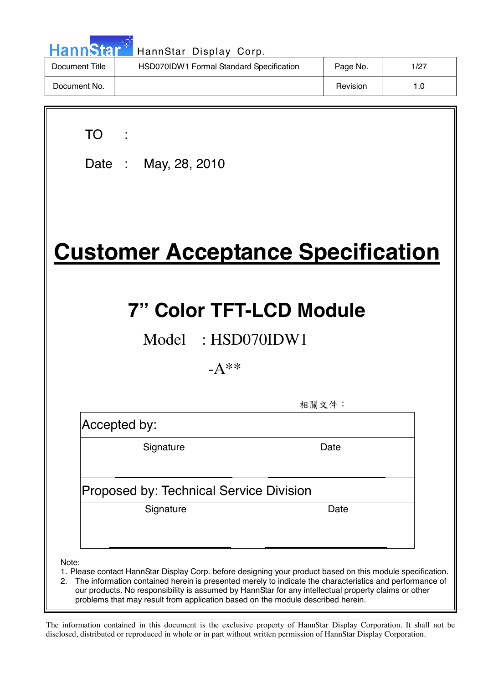| <b>HannStar</b> | HannStar Display Corp.                   |          |      |
|-----------------|------------------------------------------|----------|------|
| Document Title  | HSD070IDW1 Formal Standard Specification | Page No. | 1/27 |
| Document No.    |                                          | Revision | 1.0  |

| ×<br>۰. |  |
|---------|--|
|         |  |

 $\overline{\phantom{a}}$ 

Date : May, 28, 2010

# **Customer Acceptance Specification**

# **7" Color TFT-LCD Module**

Model : HSD070IDW1

 $-A**$ 

相關文件:

Accepted by:

 $\ddot{\phantom{a}}$ 

Signature Date

### Proposed by: Technical Service Division

Signature Date

Note:

- 1. Please contact HannStar Display Corp. before designing your product based on this module specification.
- 2. The information contained herein is presented merely to indicate the characteristics and performance of our products. No responsibility is assumed by HannStar for any intellectual property claims or other problems that may result from application based on the module described herein.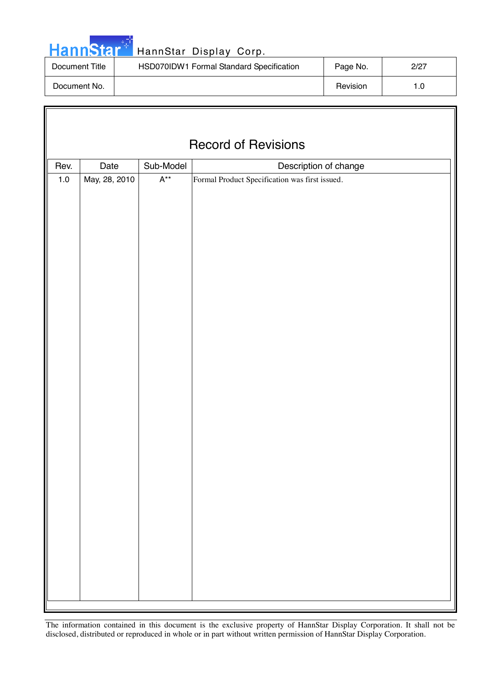|  | HannStar <sup>*</sup> |  |
|--|-----------------------|--|
|  |                       |  |

### HannStar Display Corp.

| Document Title | HSD070IDW1 Formal Standard Specification | Page No. | 2/27 |
|----------------|------------------------------------------|----------|------|
| Document No.   |                                          | Revision | ı .O |

| <b>Record of Revisions</b> |               |                           |                                                |  |  |
|----------------------------|---------------|---------------------------|------------------------------------------------|--|--|
| Rev.                       | Date          | Sub-Model                 | Description of change                          |  |  |
| $1.0\,$                    | May, 28, 2010 | $\mathsf{A}^{\star\star}$ | Formal Product Specification was first issued. |  |  |
|                            |               |                           |                                                |  |  |
|                            |               |                           |                                                |  |  |
|                            |               |                           |                                                |  |  |
|                            |               |                           |                                                |  |  |
|                            |               |                           |                                                |  |  |
|                            |               |                           |                                                |  |  |
|                            |               |                           |                                                |  |  |
|                            |               |                           |                                                |  |  |
|                            |               |                           |                                                |  |  |
|                            |               |                           |                                                |  |  |
|                            |               |                           |                                                |  |  |
|                            |               |                           |                                                |  |  |
|                            |               |                           |                                                |  |  |
|                            |               |                           |                                                |  |  |
|                            |               |                           |                                                |  |  |
|                            |               |                           |                                                |  |  |
|                            |               |                           |                                                |  |  |
|                            |               |                           |                                                |  |  |
|                            |               |                           |                                                |  |  |
|                            |               |                           |                                                |  |  |
|                            |               |                           |                                                |  |  |
|                            |               |                           |                                                |  |  |
|                            |               |                           |                                                |  |  |
|                            |               |                           |                                                |  |  |
|                            |               |                           |                                                |  |  |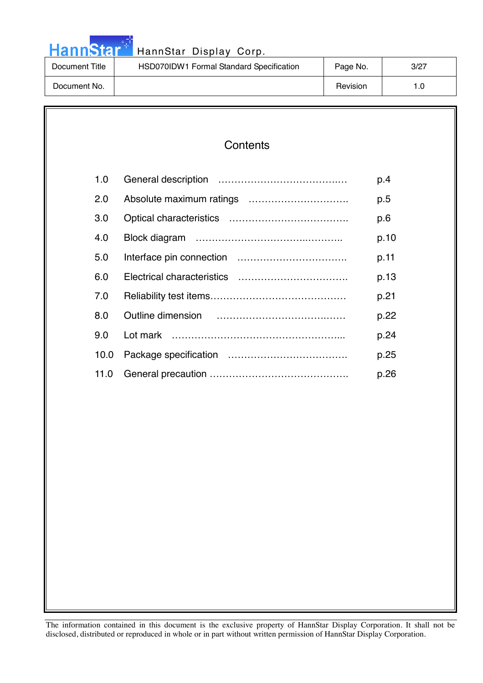|  |  | <b>HannStart</b> |  |
|--|--|------------------|--|
|  |  |                  |  |
|  |  |                  |  |

### HannStar Display Corp.

| Document Title | HSD070IDW1 Formal Standard Specification | Page No. | 3/27 |
|----------------|------------------------------------------|----------|------|
| Document No.   |                                          | Revision | I .O |

### **Contents**

| 1.0  | p.4  |
|------|------|
| 2.0  | p.5  |
| 3.0  | p.6  |
| 4.0  | p.10 |
| 5.0  | p.11 |
| 6.0  | p.13 |
| 7.0  | p.21 |
| 8.0  | p.22 |
| 9.0  | p.24 |
| 10.0 | p.25 |
| 11.0 | p.26 |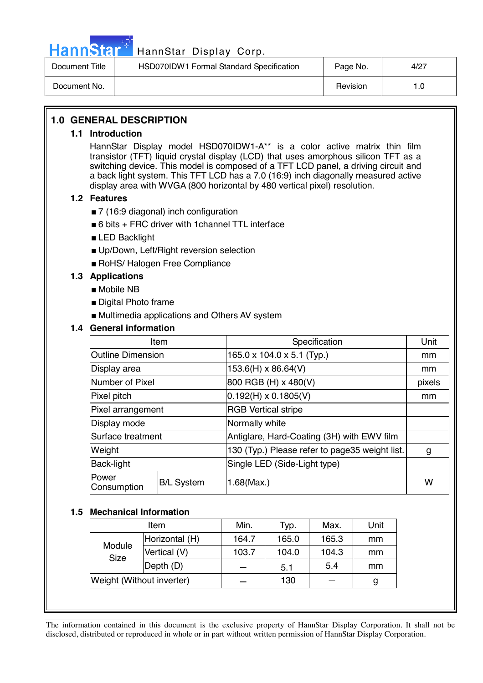

### Hann Star<sup>47</sup> HannStar Display Corp.

| Document Title | HSD070IDW1 Formal Standard Specification | Page No. | 4/27 |
|----------------|------------------------------------------|----------|------|
| Document No.   |                                          | Revision |      |

### **1.0 GENERAL DESCRIPTION**

#### **1.1 Introduction**

HannStar Display model HSD070IDW1-A\*\* is a color active matrix thin film transistor (TFT) liquid crystal display (LCD) that uses amorphous silicon TFT as a switching device. This model is composed of a TFT LCD panel, a driving circuit and a back light system. This TFT LCD has a 7.0 (16:9) inch diagonally measured active display area with WVGA (800 horizontal by 480 vertical pixel) resolution.

#### **1.2 Features**

- 7 (16:9 diagonal) inch configuration
- 6 bits + FRC driver with 1 channel TTL interface
- LED Backlight
- Up/Down, Left/Right reversion selection
- RoHS/ Halogen Free Compliance

#### **1.3 Applications**

- Mobile NB
- Digital Photo frame
- Multimedia applications and Others AV system

### **1.4 General information**

| Item                     |                   | Specification                                  | Unit   |
|--------------------------|-------------------|------------------------------------------------|--------|
| <b>Outline Dimension</b> |                   | $165.0 \times 104.0 \times 5.1$ (Typ.)         | mm     |
| Display area             |                   | 153.6(H) x 86.64(V)                            | mm     |
| Number of Pixel          |                   | 800 RGB (H) x 480(V)                           | pixels |
| Pixel pitch              |                   | $0.192(H) \times 0.1805(V)$                    | mm     |
| Pixel arrangement        |                   | <b>RGB Vertical stripe</b>                     |        |
| Display mode             |                   | Normally white                                 |        |
| Surface treatment        |                   | Antiglare, Hard-Coating (3H) with EWV film     |        |
| Weight                   |                   | 130 (Typ.) Please refer to page35 weight list. | g      |
| Back-light               |                   | Single LED (Side-Light type)                   |        |
| Power<br>Consumption     | <b>B/L System</b> | 1.68(Max.)                                     | w      |

#### **1.5 Mechanical Information**

| ltem                      |                | Min.  | Typ.  | Max.  | Unit |
|---------------------------|----------------|-------|-------|-------|------|
|                           | Horizontal (H) | 164.7 | 165.0 | 165.3 | mm   |
| Module<br><b>Size</b>     | Vertical (V)   | 103.7 | 104.0 | 104.3 | mm   |
|                           | Depth (D)      |       | 5.1   | 5.4   | mm   |
| Weight (Without inverter) |                |       | 130   |       | g    |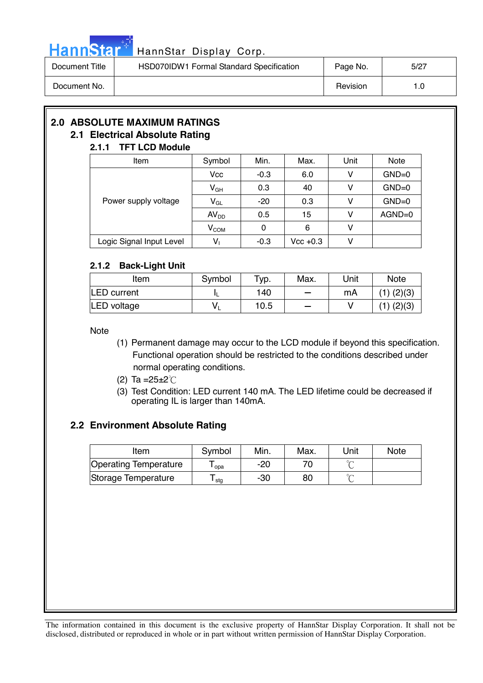

## HannStar<sup>t HannStar</sup> Display Corp.

| Document Title | HSD070IDW1 Formal Standard Specification | Page No. | 5/27 |
|----------------|------------------------------------------|----------|------|
| Document No.   |                                          | Revision |      |

### **2.0 ABSOLUTE MAXIMUM RATINGS**

#### **2.1 Electrical Absolute Rating 2.1.1 TFT LCD Module**

### Item  $\vert$  Symbol | Min. | Max. | Unit | Note  $Vcc$  -0.3 6.0 V GND=0  $V_{GH}$  0.3 40 V GND=0  $V_{\text{GL}}$  -20 0.3 V GND=0  $AV_{DD}$  0.5 15 V AGND=0 Power supply voltage  $V_{COM}$  0 6 V Logic Signal Input Level  $\vert$   $V_1$   $\vert$  -0.3  $\vert$  Vcc +0.3  $\vert$  V

### **2.1.2 Back-Light Unit**

| Item               | Symbol | Typ. | Max.                     | Unit | <b>Note</b>    |
|--------------------|--------|------|--------------------------|------|----------------|
| <b>LED</b> current |        | 140  | $\overline{\phantom{a}}$ | mA   | $(1)$ $(2)(3)$ |
| LED voltage        | v      | 10.5 | $\sim$                   |      | $(1)$ $(2)(3)$ |

**Note** 

- (1) Permanent damage may occur to the LCD module if beyond this specification. Functional operation should be restricted to the conditions described under normal operating conditions.
- (2) Ta = $25 \pm 2^{\circ}$ C
- (3) Test Condition: LED current 140 mA. The LED lifetime could be decreased if operating IL is larger than 140mA.

### **2.2 Environment Absolute Rating**

| Item                  | Symbol | Min. | Max. | Unit | <b>Note</b> |
|-----------------------|--------|------|------|------|-------------|
| Operating Temperature | opa    | -20  |      |      |             |
| Storage Temperature   | stg    | -30  | 80   |      |             |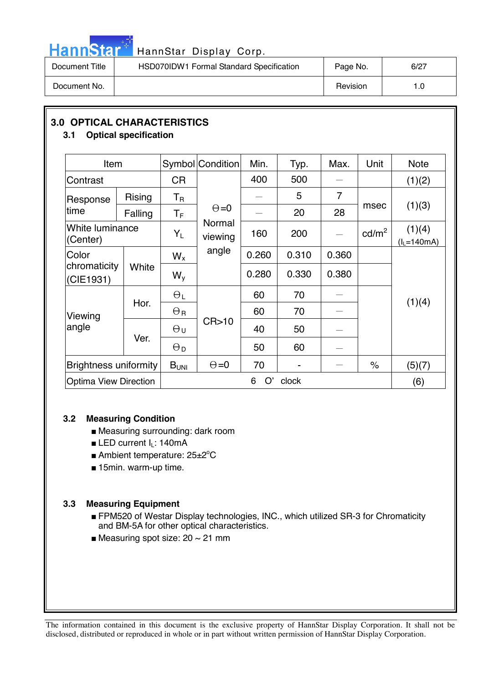

## HannStar<sup>t HannStar</sup> Display Corp.

| Document Title | HSD070IDW1 Formal Standard Specification | Page No. | 6/27 |
|----------------|------------------------------------------|----------|------|
| Document No.   |                                          | Revision | 1.0  |

### **3.0 OPTICAL CHARACTERISTICS**

### **3.1 Optical specification**

| Item                         |         |                       | Symbol Condition  | Min.    | Typ.  | Max.                     | Unit            | <b>Note</b>               |
|------------------------------|---------|-----------------------|-------------------|---------|-------|--------------------------|-----------------|---------------------------|
| Contrast                     |         | <b>CR</b>             |                   | 400     | 500   |                          |                 | (1)(2)                    |
| Response                     | Rising  | $T_{\sf R}$           |                   |         | 5     | $\overline{7}$           |                 |                           |
| time                         | Falling | $T_{\sf F}$           | $\Theta = 0$      |         | 20    | 28                       | msec            | (1)(3)                    |
| White luminance<br>(Center)  |         | $Y_L$                 | Normal<br>viewing | 160     | 200   |                          | $\text{cd/m}^2$ | (1)(4)<br>$(l_L = 140mA)$ |
| Color                        |         | $W_{x}$               | angle             | 0.260   | 0.310 | 0.360                    |                 |                           |
| chromaticity<br>(CIE1931)    | White   | $W_{V}$               |                   | 0.280   | 0.330 | 0.380                    |                 |                           |
|                              |         | $\Theta_L$            |                   | 60      | 70    |                          |                 |                           |
| Viewing                      | Hor.    | $\Theta_{\rm R}$      |                   | 60      | 70    |                          |                 | (1)(4)                    |
| angle                        | Ver.    | $\Theta$ u            | CR > 10           | 40      | 50    | $\overline{\phantom{0}}$ |                 |                           |
|                              |         | $\Theta_{\mathsf{D}}$ |                   | 50      | 60    |                          |                 |                           |
| <b>Brightness uniformity</b> |         | B <sub>UNI</sub>      | $\Theta = 0$      | 70      |       |                          | $\%$            | (5)(7)                    |
| <b>Optima View Direction</b> |         |                       |                   | O'<br>6 | clock |                          |                 | (6)                       |

### **3.2 Measuring Condition**

- Measuring surrounding: dark room
- LED current I<sub>L</sub>: 140mA
- Ambient temperature: 25±2°C
- 15min. warm-up time.

### **3.3 Measuring Equipment**

- FPM520 of Westar Display technologies, INC., which utilized SR-3 for Chromaticity and BM-5A for other optical characteristics.
- Measuring spot size:  $20 \sim 21$  mm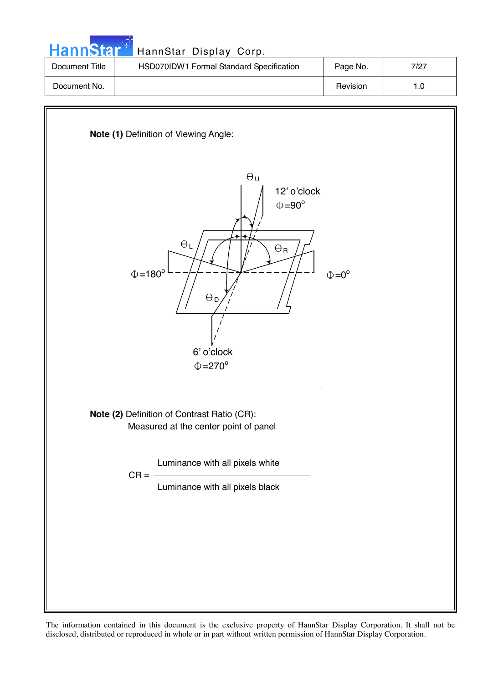| <b>HannStar</b> | HannStar Display Corp.                   |          |      |
|-----------------|------------------------------------------|----------|------|
| Document Title  | HSD070IDW1 Formal Standard Specification | Page No. | 7/27 |
| Document No.    |                                          | Revision | 1.0  |

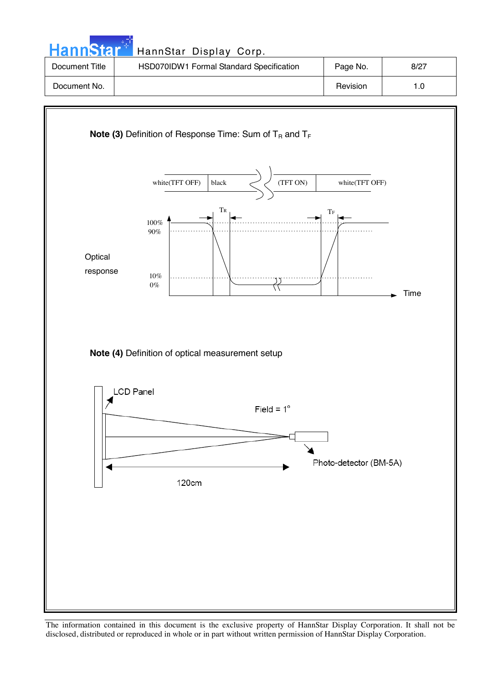| <b>HannStar</b> | HannStar Display Corp.                   |          |      |
|-----------------|------------------------------------------|----------|------|
| Document Title  | HSD070IDW1 Formal Standard Specification | Page No. | 8/27 |
| Document No.    |                                          | Revision | 1.0  |
|                 |                                          |          |      |

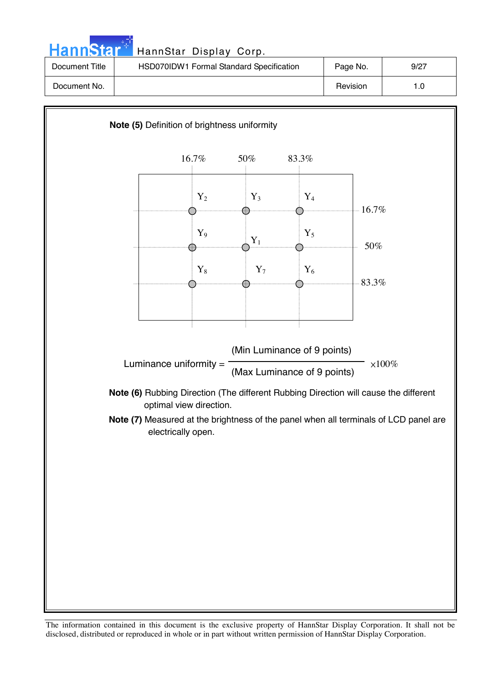| HannStar <sup>*</sup> | HannStar Display Corp.                   |          |      |
|-----------------------|------------------------------------------|----------|------|
| Document Title        | HSD070IDW1 Formal Standard Specification | Page No. | 9/27 |
| Document No.          |                                          | Revision | 1.0  |

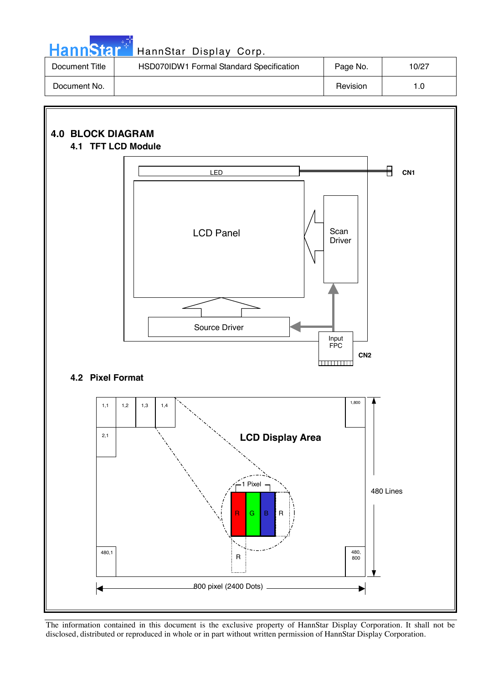| <b>HannStar</b> * | HannStar Display Corp.                   |          |       |
|-------------------|------------------------------------------|----------|-------|
| Document Title    | HSD070IDW1 Formal Standard Specification | Page No. | 10/27 |
| Document No.      |                                          | Revision | 1.0   |

an di Salah

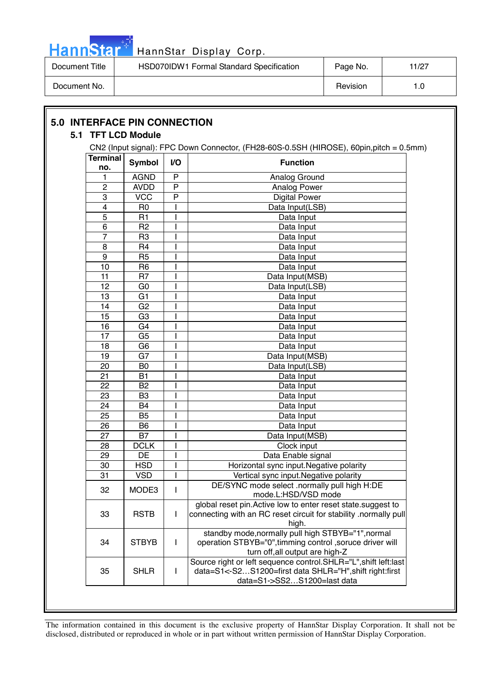

| Document Title | HSD070IDW1 Formal Standard Specification | Page No. | 11/27 |
|----------------|------------------------------------------|----------|-------|
| Document No.   |                                          | Revision |       |

|                        | 5.1 TFT LCD Module |                | CN2 (Input signal): FPC Down Connector, (FH28-60S-0.5SH (HIROSE), 60pin,pitch = 0.5mm)                                                                    |
|------------------------|--------------------|----------------|-----------------------------------------------------------------------------------------------------------------------------------------------------------|
| <b>Terminal</b><br>no. | <b>Symbol</b>      | I/O            | <b>Function</b>                                                                                                                                           |
| 1                      | <b>AGND</b>        | P              | Analog Ground                                                                                                                                             |
| $\overline{c}$         | <b>AVDD</b>        | $\overline{P}$ | Analog Power                                                                                                                                              |
| 3                      | <b>VCC</b>         | P              | <b>Digital Power</b>                                                                                                                                      |
| 4                      | R <sub>0</sub>     |                | Data Input(LSB)                                                                                                                                           |
| 5                      | R <sub>1</sub>     |                | Data Input                                                                                                                                                |
| 6                      | R <sub>2</sub>     |                | Data Input                                                                                                                                                |
| $\overline{7}$         | R <sub>3</sub>     |                | Data Input                                                                                                                                                |
| 8                      | R <sub>4</sub>     |                | Data Input                                                                                                                                                |
| 9                      | R <sub>5</sub>     |                | Data Input                                                                                                                                                |
| 10                     | R <sub>6</sub>     |                | Data Input                                                                                                                                                |
| 11                     | R <sub>7</sub>     | I              | Data Input(MSB)                                                                                                                                           |
| 12                     | G <sub>0</sub>     |                | Data Input(LSB)                                                                                                                                           |
| 13                     | G <sub>1</sub>     |                | Data Input                                                                                                                                                |
| 14                     | G <sub>2</sub>     |                | Data Input                                                                                                                                                |
| 15                     | G <sub>3</sub>     |                | Data Input                                                                                                                                                |
| 16                     | G4                 |                | Data Input                                                                                                                                                |
| 17                     | G <sub>5</sub>     |                | Data Input                                                                                                                                                |
| 18                     | G <sub>6</sub>     |                | Data Input                                                                                                                                                |
| 19                     | G7                 |                | Data Input(MSB)                                                                                                                                           |
| 20                     | B <sub>0</sub>     |                | Data Input(LSB)                                                                                                                                           |
| 21                     | <b>B1</b>          |                | Data Input                                                                                                                                                |
| 22                     | B <sub>2</sub>     |                | Data Input                                                                                                                                                |
| 23                     | B <sub>3</sub>     |                | Data Input                                                                                                                                                |
| 24                     | B4                 |                | Data Input                                                                                                                                                |
| 25                     | B <sub>5</sub>     |                | Data Input                                                                                                                                                |
| 26                     | B <sub>6</sub>     |                | Data Input                                                                                                                                                |
| 27                     | <b>B7</b>          |                | Data Input(MSB)                                                                                                                                           |
| 28                     | <b>DCLK</b>        |                | Clock input                                                                                                                                               |
| 29                     | DE                 |                | Data Enable signal                                                                                                                                        |
| 30                     | <b>HSD</b>         |                | Horizontal sync input. Negative polarity                                                                                                                  |
| 31                     | <b>VSD</b>         | I              | Vertical sync input. Negative polarity                                                                                                                    |
| 32                     | MODE3              | L              | DE/SYNC mode select .normally pull high H:DE<br>mode.L:HSD/VSD mode                                                                                       |
| 33                     | <b>RSTB</b>        | L              | global reset pin. Active low to enter reset state. suggest to<br>connecting with an RC reset circuit for stability .normally pull<br>high.                |
| 34                     | <b>STBYB</b>       | $\mathbf{I}$   | standby mode, normally pull high STBYB="1", normal<br>operation STBYB="0", timming control, soruce driver will<br>turn off, all output are high-Z         |
| 35                     | <b>SHLR</b>        | L              | Source right or left sequence control.SHLR="L", shift left:last<br>data=S1<-S2S1200=first data SHLR="H", shift right:first<br>data=S1->SS2S1200=last data |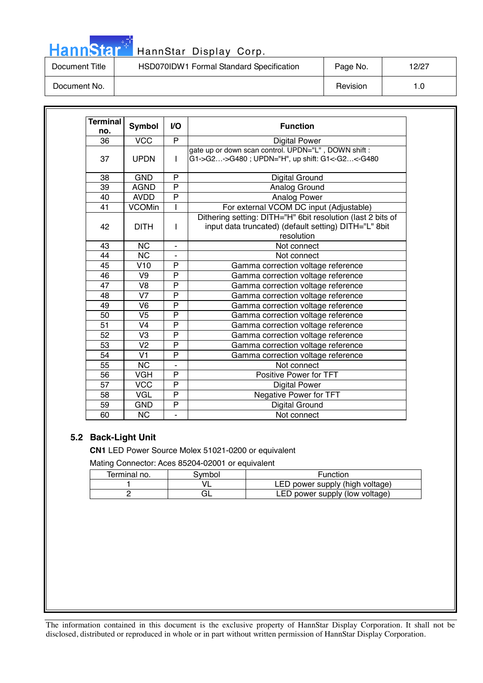# HannStar<sup>: T</sup>HannStar Display Corp.

| Document Title | HSD070IDW1 Formal Standard Specification | Page No. | 12/27 |
|----------------|------------------------------------------|----------|-------|
| Document No.   |                                          | Revision |       |

| <b>Terminal</b><br>no. | <b>Symbol</b>  | VO.            | <b>Function</b>                                                                                                                    |
|------------------------|----------------|----------------|------------------------------------------------------------------------------------------------------------------------------------|
| 36                     | <b>VCC</b>     | P              | <b>Digital Power</b>                                                                                                               |
| 37                     | <b>UPDN</b>    | L              | gate up or down scan control. UPDN="L", DOWN shift:<br>G1->G2->G480; UPDN="H", up shift: G1<-G2<-G480                              |
| 38                     | <b>GND</b>     | P              | <b>Digital Ground</b>                                                                                                              |
| 39                     | <b>AGND</b>    | P              | Analog Ground                                                                                                                      |
| 40                     | <b>AVDD</b>    | $\overline{P}$ | Analog Power                                                                                                                       |
| 41                     | <b>VCOMin</b>  |                | For external VCOM DC input (Adjustable)                                                                                            |
| 42                     | <b>DITH</b>    | L              | Dithering setting: DITH="H" 6bit resolution (last 2 bits of<br>input data truncated) (default setting) DITH="L" 8bit<br>resolution |
| 43                     | <b>NC</b>      | ۰              | Not connect                                                                                                                        |
| 44                     | <b>NC</b>      |                | Not connect                                                                                                                        |
| 45                     | V10            | P              | Gamma correction voltage reference                                                                                                 |
| 46                     | V9             | P              | Gamma correction voltage reference                                                                                                 |
| 47                     | V <sub>8</sub> | P              | Gamma correction voltage reference                                                                                                 |
| 48                     | V <sub>7</sub> | P              | Gamma correction voltage reference                                                                                                 |
| 49                     | V <sub>6</sub> | P              | Gamma correction voltage reference                                                                                                 |
| 50                     | V <sub>5</sub> | P              | Gamma correction voltage reference                                                                                                 |
| 51                     | V <sub>4</sub> | $\overline{P}$ | Gamma correction voltage reference                                                                                                 |
| 52                     | V <sub>3</sub> | P              | Gamma correction voltage reference                                                                                                 |
| 53                     | V <sub>2</sub> | P              | Gamma correction voltage reference                                                                                                 |
| 54                     | V <sub>1</sub> | P              | Gamma correction voltage reference                                                                                                 |
| 55                     | <b>NC</b>      |                | Not connect                                                                                                                        |
| 56                     | <b>VGH</b>     | P              | Positive Power for TFT                                                                                                             |
| 57                     | <b>VCC</b>     | $\overline{P}$ | <b>Digital Power</b>                                                                                                               |
| 58                     | <b>VGL</b>     | P              | Negative Power for TFT                                                                                                             |
| 59                     | <b>GND</b>     | P              | Digital Ground                                                                                                                     |
| 60                     | <b>NC</b>      |                | Not connect                                                                                                                        |

### **5.2 Back-Light Unit**

**CN1** LED Power Source Molex 51021-0200 or equivalent Mating Connector: Aces 85204-02001 or equivalent

| Terminal no. | 3vmbol | <b>Function</b>                 |
|--------------|--------|---------------------------------|
|              |        | LED power supply (high voltage) |
|              |        | LED power supply (low voltage)  |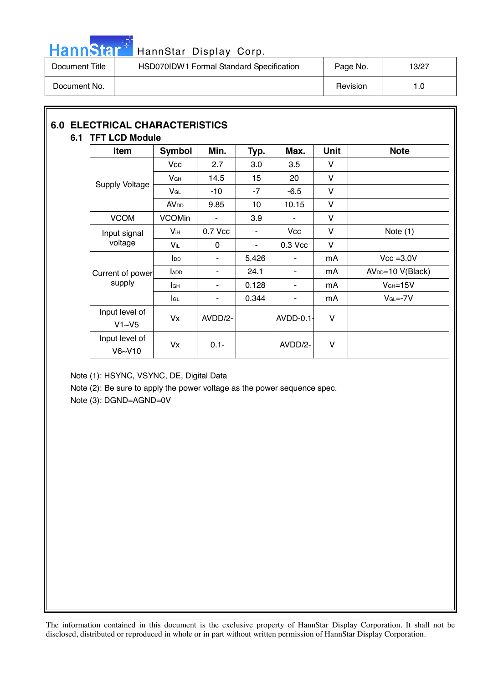

## HannStar<sup>#</sup> HannStar Display Corp.

| Document Title | HSD070IDW1 Formal Standard Specification | Page No. | 13/27 |
|----------------|------------------------------------------|----------|-------|
| Document No.   |                                          | Revision | 1.0   |

### **6.0 ELECTRICAL CHARACTERISTICS 6.1 TFT LCD Module**

| <b>Item</b>              | Symbol          | Min.           | Typ.  | Max.                     | <b>Unit</b>  | <b>Note</b>                   |
|--------------------------|-----------------|----------------|-------|--------------------------|--------------|-------------------------------|
|                          | <b>Vcc</b>      | 2.7            | 3.0   | 3.5                      | V            |                               |
|                          | V <sub>GH</sub> | 14.5           | 15    | 20                       | V            |                               |
| <b>Supply Voltage</b>    | $V_{GL}$        | $-10$          | $-7$  | $-6.5$                   | V            |                               |
|                          | <b>AVDD</b>     | 9.85           | 10    | 10.15                    | V            |                               |
| <b>VCOM</b>              | <b>VCOMin</b>   | $\blacksquare$ | 3.9   | $\overline{\phantom{a}}$ | V            |                               |
| Input signal<br>voltage  | $V_{iH}$        | 0.7 Vcc        |       | <b>Vcc</b>               | V            | Note $(1)$                    |
|                          | Vil             | $\mathbf{0}$   | ٠     | 0.3 Vcc                  | V            |                               |
|                          | $I_{DD}$        | ٠              | 5.426 | ٠                        | mA           | $Vcc = 3.0V$                  |
| Current of power         | <b>ADD</b>      | ۰              | 24.1  |                          | mA           | AV <sub>DD</sub> =10 V(Black) |
| supply                   | lсн             | ٠              | 0.128 | ٠                        | mA           | $VGH=15V$                     |
|                          | <b>I</b> GL     | $\sim$         | 0.344 | ۰                        | mA           | $VGL=-7V$                     |
| Input level of<br>V1~V5  | Vx              | AVDD/2-        |       | $AVDD-0.1-$              | $\mathsf{V}$ |                               |
| Input level of<br>V6~V10 | Vx              | $0.1 -$        |       | AVDD/2-                  | V            |                               |

Note (1): HSYNC, VSYNC, DE, Digital Data

Note (2): Be sure to apply the power voltage as the power sequence spec.

Note (3): DGND=AGND=0V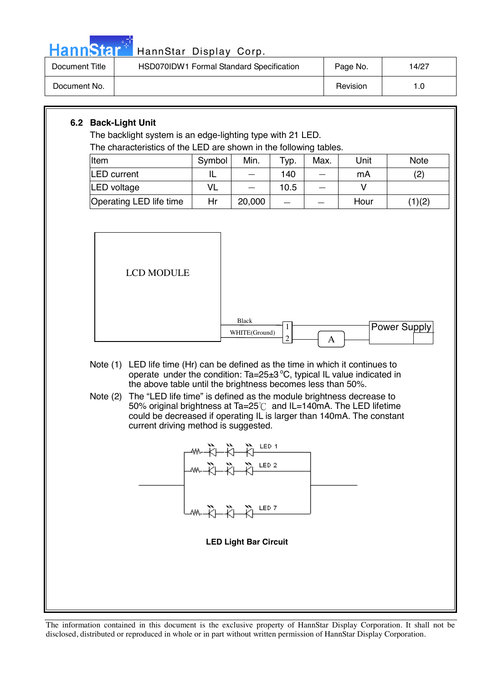

## Hann Star<sup>#</sup> HannStar Display Corp.

| Document Title | HSD070IDW1 Formal Standard Specification | Page No. | 14/27 |
|----------------|------------------------------------------|----------|-------|
| Document No.   |                                          | Revision | 0. ا  |

### **6.2 Back-Light Unit**

The backlight system is an edge-lighting type with 21 LED. The characteristics of the LED are shown in the following tables.

| Item                    | Symbol | Min.   | Typ. | Max. | Unit | <b>Note</b>       |
|-------------------------|--------|--------|------|------|------|-------------------|
| <b>LED</b> current      |        |        | 140  |      | mA   | $\left( 2\right)$ |
| LED voltage             | VL     |        | 10.5 |      |      |                   |
| Operating LED life time | Hr     | 20,000 |      |      | Hour | (1)(2)            |



- Note (1) LED life time (Hr) can be defined as the time in which it continues to operate under the condition: Ta=25 $\pm$ 3 °C, typical IL value indicated in the above table until the brightness becomes less than 50%.
- Note (2) The "LED life time" is defined as the module brightness decrease to 50% original brightness at Ta=25 $\degree$ C and IL=140mA. The LED lifetime could be decreased if operating IL is larger than 140mA. The constant current driving method is suggested.

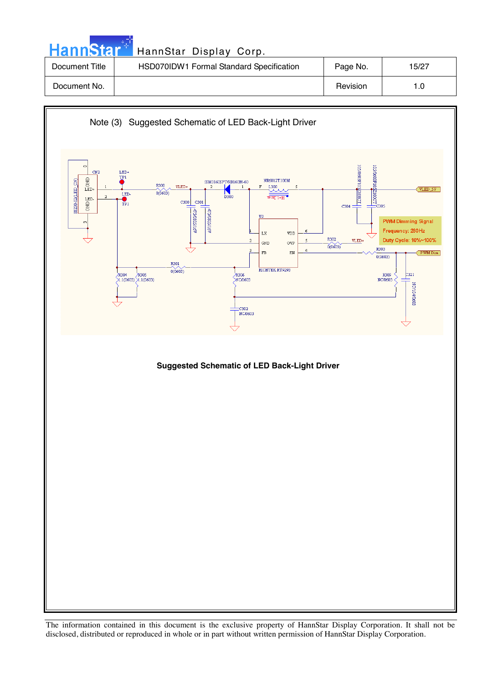| <b>HannStar</b> | HannStar Display Corp.                   |          |       |
|-----------------|------------------------------------------|----------|-------|
| Document Title  | HSD070IDW1 Formal Standard Specification | Page No. | 15/27 |
| Document No.    |                                          | Revision | 1.0   |

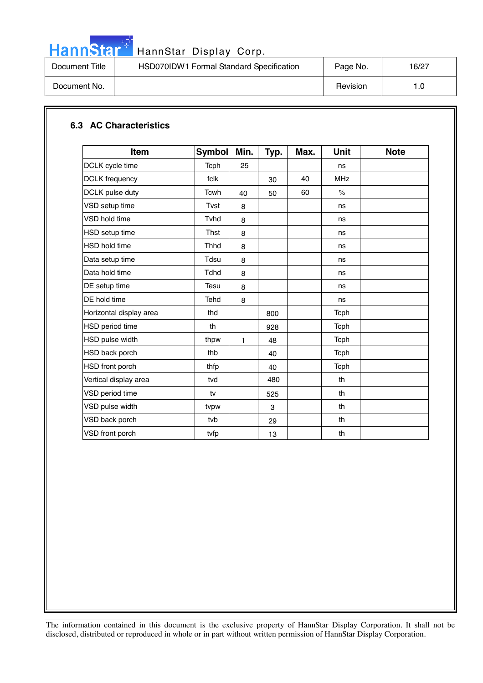

# HannStar<sup>t HannStar Display Corp.</sup>

| Document Title | HSD070IDW1 Formal Standard Specification | Page No. | 16/27 |
|----------------|------------------------------------------|----------|-------|
| Document No.   |                                          | Revision | 1.0   |

### **6.3 AC Characteristics**

| <b>Item</b>             | <b>Symbol</b> | Min. | Typ. | Max. | <b>Unit</b>          | <b>Note</b> |
|-------------------------|---------------|------|------|------|----------------------|-------------|
| DCLK cycle time         | Tcph          | 25   |      |      | ns                   |             |
| <b>DCLK</b> frequency   | fclk          |      | 30   | 40   | <b>MHz</b>           |             |
| DCLK pulse duty         | <b>Tcwh</b>   | 40   | 50   | 60   | $\frac{1}{\sqrt{2}}$ |             |
| VSD setup time          | Tvst          | 8    |      |      | ns                   |             |
| VSD hold time           | Tyhd          | 8    |      |      | ns                   |             |
| <b>HSD</b> setup time   | <b>Thst</b>   | 8    |      |      | ns                   |             |
| <b>HSD hold time</b>    | <b>Thhd</b>   | 8    |      |      | ns                   |             |
| Data setup time         | Tdsu          | 8    |      |      | ns                   |             |
| Data hold time          | <b>Tdhd</b>   | 8    |      |      | ns                   |             |
| DE setup time           | Tesu          | 8    |      |      | ns                   |             |
| DE hold time            | Tehd          | 8    |      |      | ns                   |             |
| Horizontal display area | thd           |      | 800  |      | Tcph                 |             |
| HSD period time         | th            |      | 928  |      | <b>Tcph</b>          |             |
| HSD pulse width         | thpw          | 1    | 48   |      | Tcph                 |             |
| HSD back porch          | thb           |      | 40   |      | <b>Tcph</b>          |             |
| HSD front porch         | thfp          |      | 40   |      | <b>Tcph</b>          |             |
| Vertical display area   | tvd           |      | 480  |      | th                   |             |
| VSD period time         | tv            |      | 525  |      | th                   |             |
| VSD pulse width         | tvpw          |      | 3    |      | th                   |             |
| VSD back porch          | tvb           |      | 29   |      | th                   |             |
| VSD front porch         | tvfp          |      | 13   |      | th                   |             |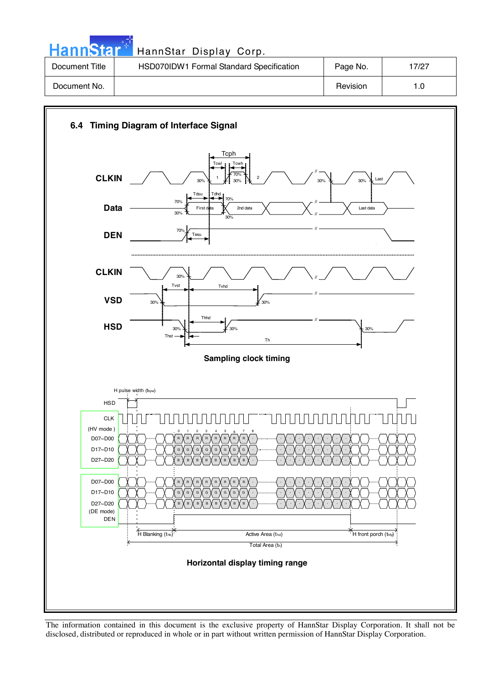| <b>HannStar</b> * | HannStar Display Corp.                   |          |       |
|-------------------|------------------------------------------|----------|-------|
| Document Title    | HSD070IDW1 Formal Standard Specification | Page No. | 17/27 |
| Document No.      |                                          | Revision | 1.0   |

والمراد



The information contained in this document is the exclusive property of HannStar Display Corporation. It shall not be disclosed, distributed or reproduced in whole or in part without written permission of HannStar Display Corporation.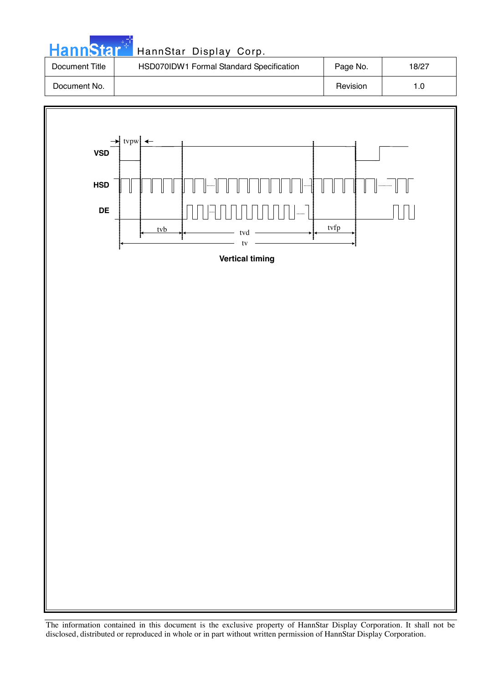| <b>HannStart</b> | HannStar Display Corp.                   |          |       |
|------------------|------------------------------------------|----------|-------|
| Document Title   | HSD070IDW1 Formal Standard Specification | Page No. | 18/27 |
| Document No.     |                                          | Revision | 1.0   |

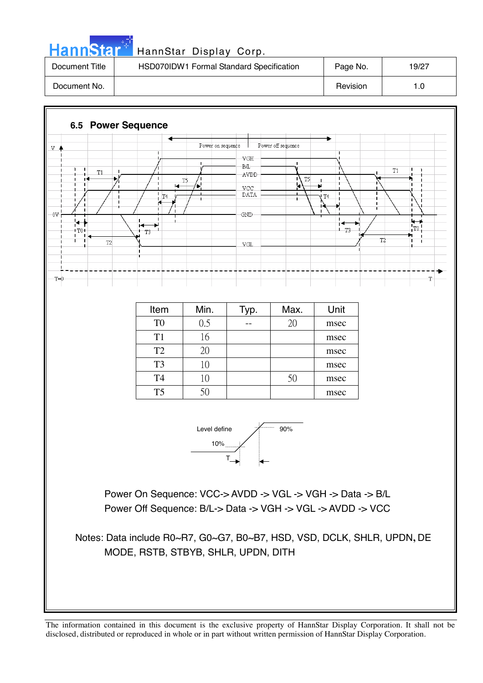| . . |  |     |   |  |
|-----|--|-----|---|--|
| П   |  | ann | Ы |  |
|     |  |     |   |  |

### HannStar Display Corp.

| Document Title | HSD070IDW1 Formal Standard Specification | Page No. | 19/27 |
|----------------|------------------------------------------|----------|-------|
| Document No.   |                                          | Revision | 0. ا  |

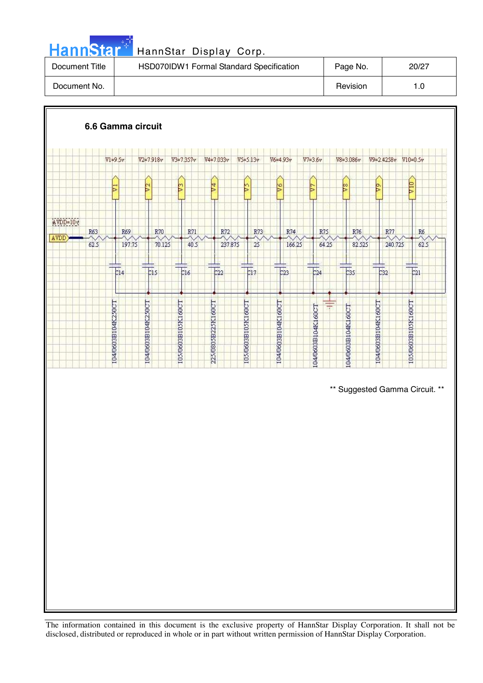|  |  | HannStar <sup>*</sup> |  |
|--|--|-----------------------|--|
|  |  |                       |  |
|  |  |                       |  |

### <mark>\*</mark> HannStar Display Corp.

| Document Title | HSD070IDW1 Formal Standard Specification | Page No. | 20/27 |
|----------------|------------------------------------------|----------|-------|
| Document No.   |                                          | Revision | 1.0   |

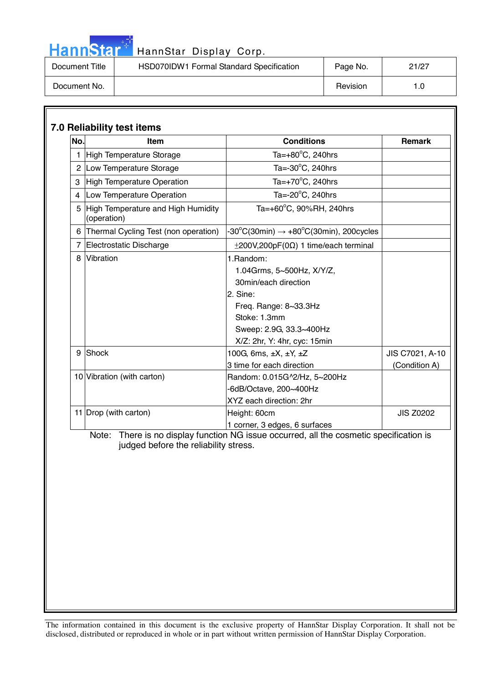| 4 N D |
|-------|
|-------|

### HannStar Display Corp.

| Document Title | HSD070IDW1 Formal Standard Specification | Page No. | 21/27 |
|----------------|------------------------------------------|----------|-------|
| Document No.   |                                          | Revision | 1.0   |

| No.    | <b>Item</b>                                       | <b>Conditions</b>                                                                                                                                                                                       | <b>Remark</b>    |
|--------|---------------------------------------------------|---------------------------------------------------------------------------------------------------------------------------------------------------------------------------------------------------------|------------------|
|        | <b>High Temperature Storage</b>                   | Ta= $+80^{\circ}$ C, 240hrs                                                                                                                                                                             |                  |
|        | 2 Low Temperature Storage                         | Ta= $-30^{\circ}$ C, 240hrs                                                                                                                                                                             |                  |
| 3      | <b>High Temperature Operation</b>                 | Ta= $+70^{\circ}$ C, 240hrs                                                                                                                                                                             |                  |
| 4      | Low Temperature Operation                         | Ta=-20°C, 240hrs                                                                                                                                                                                        |                  |
| 5      | High Temperature and High Humidity<br>(operation) | Ta=+60°C, 90%RH, 240hrs                                                                                                                                                                                 |                  |
| 6      | Thermal Cycling Test (non operation)              | $-30^{\circ}$ C(30min) $\rightarrow +80^{\circ}$ C(30min), 200cycles                                                                                                                                    |                  |
| 7      | Electrostatic Discharge                           | $\pm$ 200V,200pF(0 $\Omega$ ) 1 time/each terminal                                                                                                                                                      |                  |
| 8<br>9 | Vibration<br>Shock                                | 1.Random:<br>1.04Grms, 5~500Hz, X/Y/Z,<br>30min/each direction<br>2. Sine:<br>Freq. Range: 8~33.3Hz<br>Stoke: 1.3mm<br>Sweep: 2.9G, 33.3~400Hz<br>X/Z: 2hr, Y: 4hr, cyc: 15min<br>100G, 6ms, ±X, ±Y, ±Z | JIS C7021, A-10  |
|        | 10 Vibration (with carton)                        | 3 time for each direction<br>Random: 0.015G^2/Hz, 5~200Hz<br>-6dB/Octave, 200~400Hz<br>XYZ each direction: 2hr                                                                                          | (Condition A)    |
|        | 11 Drop (with carton)                             | Height: 60cm<br>1 corner, 3 edges, 6 surfaces                                                                                                                                                           | <b>JIS Z0202</b> |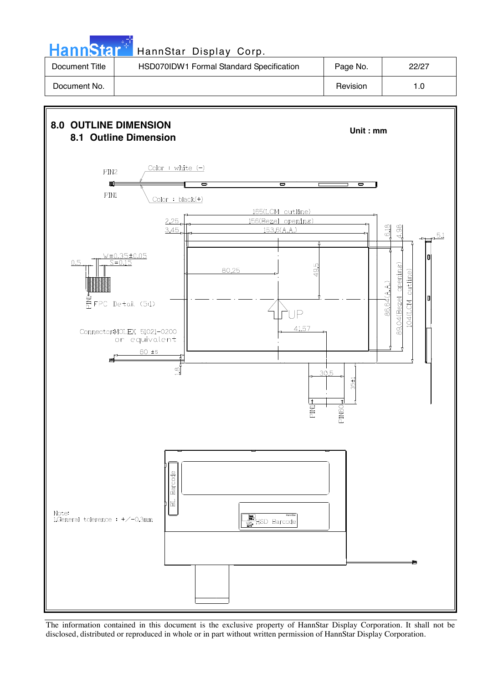HannStar<sup>#</sup> HannStar Display Corp.

| Document Title | HSD070IDW1 Formal Standard Specification | Page No. | 22/27 |
|----------------|------------------------------------------|----------|-------|
| Document No.   |                                          | Revision | 1.0   |



The information contained in this document is the exclusive property of HannStar Display Corporation. It shall not be disclosed, distributed or reproduced in whole or in part without written permission of HannStar Display Corporation.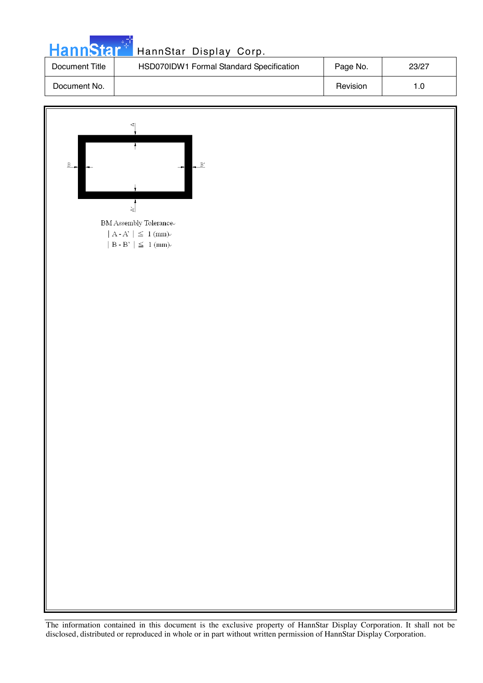| <b>HannStar</b> | HannStar Display Corp.                   |          |       |
|-----------------|------------------------------------------|----------|-------|
| Document Title  | HSD070IDW1 Formal Standard Specification | Page No. | 23/27 |
| Document No.    |                                          | Revision | 1.0   |

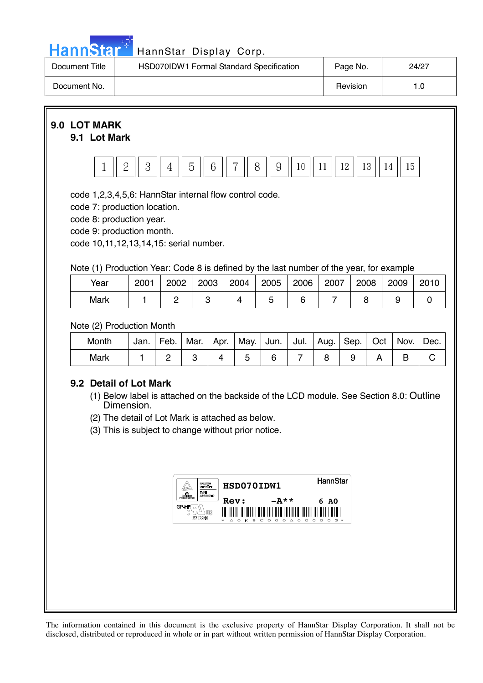

## Hann Star<sup>t H</sup> HannStar Display Corp.

| Document Title | HSD070IDW1 Formal Standard Specification | Page No. | 24/27 |
|----------------|------------------------------------------|----------|-------|
| Document No.   |                                          | Revision |       |



code 10,11,12,13,14,15: serial number.

Note (1) Production Year: Code 8 is defined by the last number of the year, for example

| Year | 2001 | 2002 | 2003 | 2004 | 2005 | 2006 | 2007 | 2008 | 2009 | 2010 |
|------|------|------|------|------|------|------|------|------|------|------|
| Mark |      |      |      |      |      |      |      |      |      |      |

Note (2) Production Month

| Month | Jan. | Feb. | Mar. | Apr. | May. | Jun. | Jul. | Aug. | $ $ Sep. $ $ | Oct | Nov. | 'Dec. |
|-------|------|------|------|------|------|------|------|------|--------------|-----|------|-------|
| Mark  |      |      |      |      |      |      |      |      |              |     |      |       |

### **9.2 Detail of Lot Mark**

- (1) Below label is attached on the backside of the LCD module. See Section 8.0: Outline Dimension.
- (2) The detail of Lot Mark is attached as below.

(3) This is subject to change without prior notice.

|           | <b>BAKLAR/RFT</b><br><b>GREENLING</b><br>TYPE | HSD070IDW1                                                           |                                                                                 | HannStar                                         |
|-----------|-----------------------------------------------|----------------------------------------------------------------------|---------------------------------------------------------------------------------|--------------------------------------------------|
| GP-H<br>C | <b>AGERMORATION</b><br>MS<br>E212246          | <b>Rev:</b><br>I<br>║<br>Ш<br>║<br>I<br>$\frac{1}{2}$<br>$\sim$<br>▵ | $-A**$<br>∥<br>Ш<br>║<br>║<br>I<br>Ш<br>Ш<br>⊪<br>K S C O O O<br>$\Delta$ 0 0 0 | 6 AO<br>Ш<br>I<br>∥<br>║<br>Ш<br>Ш<br>റ റ<br>不 米 |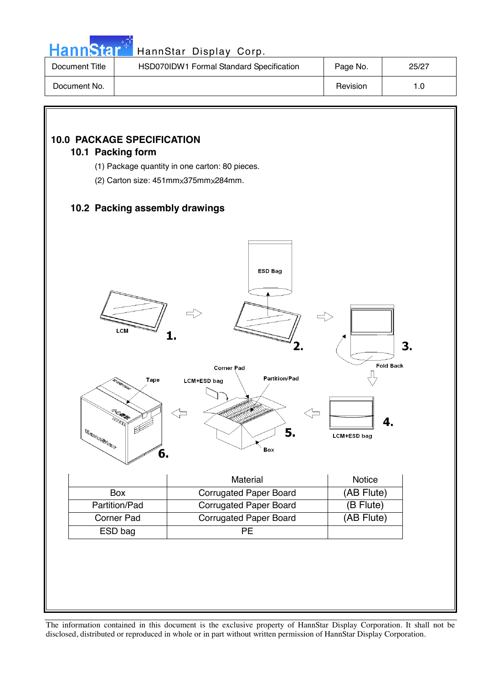

### Hann Star<sup>t HannStar</sup> Display Corp.

| Document Title | HSD070IDW1 Formal Standard Specification | Page No. | 25/27 |
|----------------|------------------------------------------|----------|-------|
| Document No.   |                                          | Revision | 1.0   |

### **10.0 PACKAGE SPECIFICATION**

### **10.1 Packing form**

- (1) Package quantity in one carton: 80 pieces.
- (2) Carton size:  $451$ mm $\times 375$ mm $\times 284$ mm.

### **10.2 Packing assembly drawings**

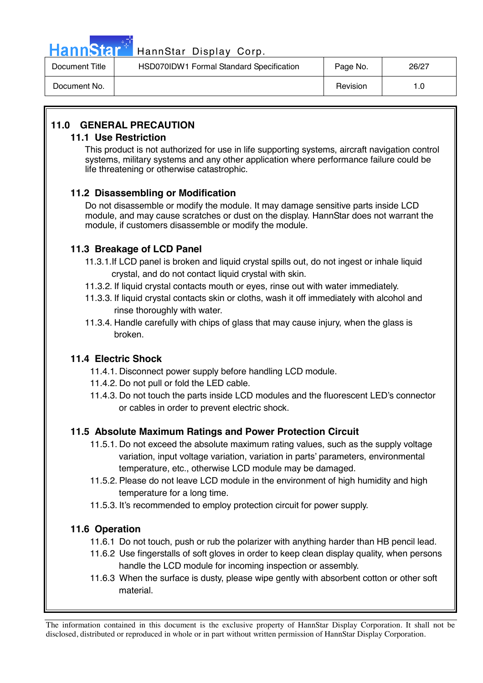

### Hann Star<sup>47</sup> HannStar Display Corp.

| Document Title | HSD070IDW1 Formal Standard Specification | Page No. | 26/27 |
|----------------|------------------------------------------|----------|-------|
| Document No.   |                                          | Revision | ∣.0   |

### **11.0 GENERAL PRECAUTION**

### **11.1 Use Restriction**

This product is not authorized for use in life supporting systems, aircraft navigation control systems, military systems and any other application where performance failure could be life threatening or otherwise catastrophic.

### **11.2 Disassembling or Modification**

 Do not disassemble or modify the module. It may damage sensitive parts inside LCD module, and may cause scratches or dust on the display. HannStar does not warrant the module, if customers disassemble or modify the module.

### **11.3 Breakage of LCD Panel**

- 11.3.1.If LCD panel is broken and liquid crystal spills out, do not ingest or inhale liquid crystal, and do not contact liquid crystal with skin.
- 11.3.2. If liquid crystal contacts mouth or eyes, rinse out with water immediately.
- 11.3.3. If liquid crystal contacts skin or cloths, wash it off immediately with alcohol and rinse thoroughly with water.
- 11.3.4. Handle carefully with chips of glass that may cause injury, when the glass is broken.

### **11.4 Electric Shock**

- 11.4.1. Disconnect power supply before handling LCD module.
- 11.4.2. Do not pull or fold the LED cable.
- 11.4.3. Do not touch the parts inside LCD modules and the fluorescent LED's connector or cables in order to prevent electric shock.

### **11.5 Absolute Maximum Ratings and Power Protection Circuit**

- 11.5.1. Do not exceed the absolute maximum rating values, such as the supply voltage variation, input voltage variation, variation in parts' parameters, environmental temperature, etc., otherwise LCD module may be damaged.
- 11.5.2. Please do not leave LCD module in the environment of high humidity and high temperature for a long time.
- 11.5.3. It's recommended to employ protection circuit for power supply.

### **11.6 Operation**

- 11.6.1 Do not touch, push or rub the polarizer with anything harder than HB pencil lead.
- 11.6.2 Use fingerstalls of soft gloves in order to keep clean display quality, when persons handle the LCD module for incoming inspection or assembly.
- 11.6.3 When the surface is dusty, please wipe gently with absorbent cotton or other soft material.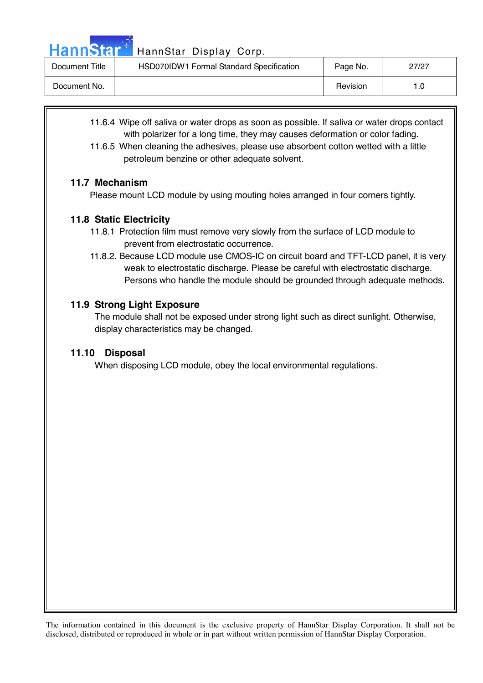Hann Star<sup>4</sup> HannStar Display Corp.

| Document Title | HSD070IDW1 Formal Standard Specification | Page No. | 27/27 |
|----------------|------------------------------------------|----------|-------|
| Document No.   |                                          | Revision |       |

- 11.6.4 Wipe off saliva or water drops as soon as possible. If saliva or water drops contact with polarizer for a long time, they may causes deformation or color fading.
- 11.6.5 When cleaning the adhesives, please use absorbent cotton wetted with a little petroleum benzine or other adequate solvent.

### **11.7 Mechanism**

Please mount LCD module by using mouting holes arranged in four corners tightly.

### **11.8 Static Electricity**

- 11.8.1 Protection film must remove very slowly from the surface of LCD module to prevent from electrostatic occurrence.
- 11.8.2. Because LCD module use CMOS-IC on circuit board and TFT-LCD panel, it is very weak to electrostatic discharge. Please be careful with electrostatic discharge. Persons who handle the module should be grounded through adequate methods.

### **11.9 Strong Light Exposure**

The module shall not be exposed under strong light such as direct sunlight. Otherwise, display characteristics may be changed.

### **11.10 Disposal**

When disposing LCD module, obey the local environmental regulations.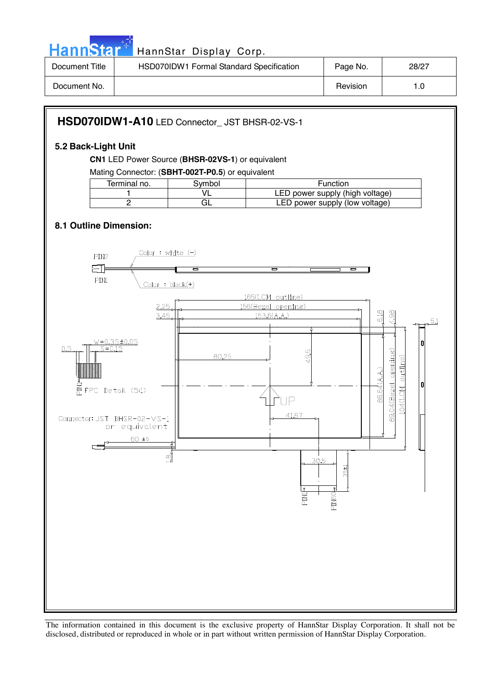

| Document Title | HSD070IDW1 Formal Standard Specification | Page No. | 28/27 |
|----------------|------------------------------------------|----------|-------|
| Document No.   |                                          | Revision | .0    |

### **HSD070IDW1-A10** LED Connector\_ JST BHSR-02-VS-1

### **5.2 Back-Light Unit**

**CN1** LED Power Source (**BHSR-02VS-1**) or equivalent

Mating Connector: (**SBHT-002T-P0.5**) or equivalent

| Terminal no. | 3vmbol | <b>Function</b>                 |
|--------------|--------|---------------------------------|
|              |        | LED power supply (high voltage) |
|              |        | LED power supply (low voltage)  |
|              |        |                                 |

### **8.1 Outline Dimension:**

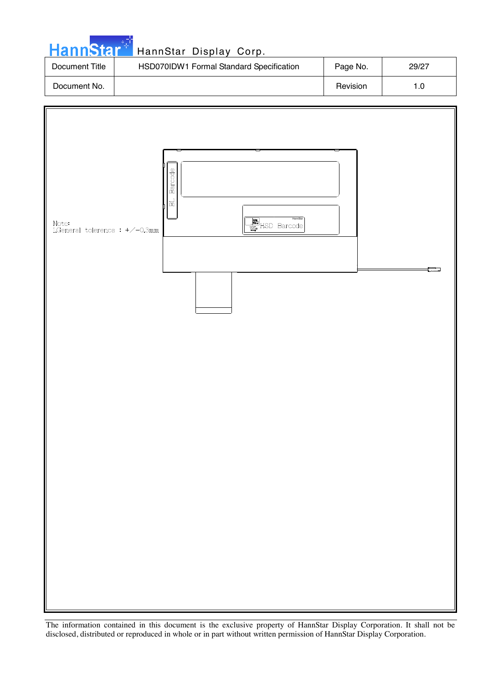| <b>HannStar*</b> | HannStar Display Corp.                   |          |       |
|------------------|------------------------------------------|----------|-------|
| Document Title   | HSD070IDW1 Formal Standard Specification | Page No. | 29/27 |
| Document No.     |                                          | Revision | 1.0   |

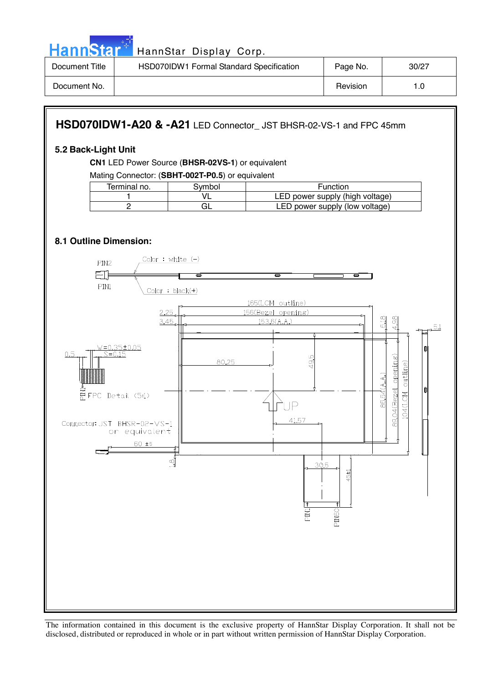

| Document Title | HSD070IDW1 Formal Standard Specification | Page No. | 30/27 |
|----------------|------------------------------------------|----------|-------|
| Document No.   |                                          | Revision |       |

### **HSD070IDW1-A20 & -A21** LED Connector\_ JST BHSR-02-VS-1 and FPC 45mm

#### **5.2 Back-Light Unit**

**CN1** LED Power Source (**BHSR-02VS-1**) or equivalent

Mating Connector: (**SBHT-002T-P0.5**) or equivalent

| Terminal no. | 3vmbol | Function                        |
|--------------|--------|---------------------------------|
|              |        | LED power supply (high voltage) |
|              |        | LED power supply (low voltage)  |

### **8.1 Outline Dimension:**

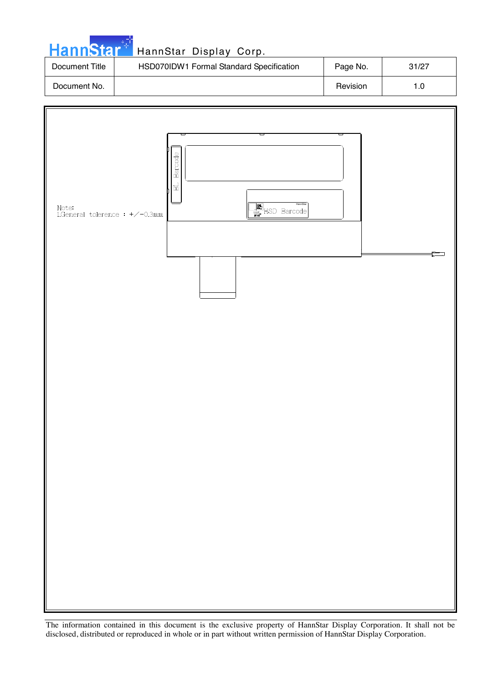| HannStar <sup>*</sup> | HannStar Display Corp.                   |          |       |
|-----------------------|------------------------------------------|----------|-------|
| Document Title        | HSD070IDW1 Formal Standard Specification | Page No. | 31/27 |
| Document No.          |                                          | Revision | 1.0   |

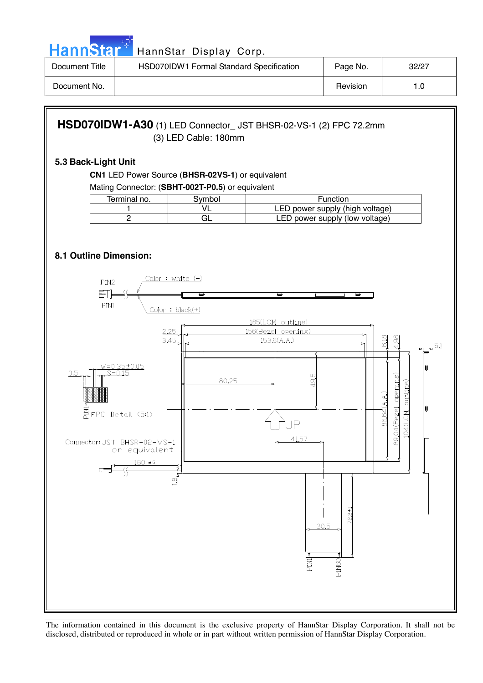

| Document Title | HSD070IDW1 Formal Standard Specification | Page No. | 32/27 |
|----------------|------------------------------------------|----------|-------|
| Document No.   |                                          | Revision |       |

### **HSD070IDW1-A30** (1) LED Connector\_ JST BHSR-02-VS-1 (2) FPC 72.2mm (3) LED Cable: 180mm

#### **5.3 Back-Light Unit**

**CN1** LED Power Source (**BHSR-02VS-1**) or equivalent

Mating Connector: (**SBHT-002T-P0.5**) or equivalent

| Terminal no. | 3vmbol | Function                        |
|--------------|--------|---------------------------------|
|              |        | LED power supply (high voltage) |
|              | ЭL     | LED power supply (low voltage)  |

### **8.1 Outline Dimension:**

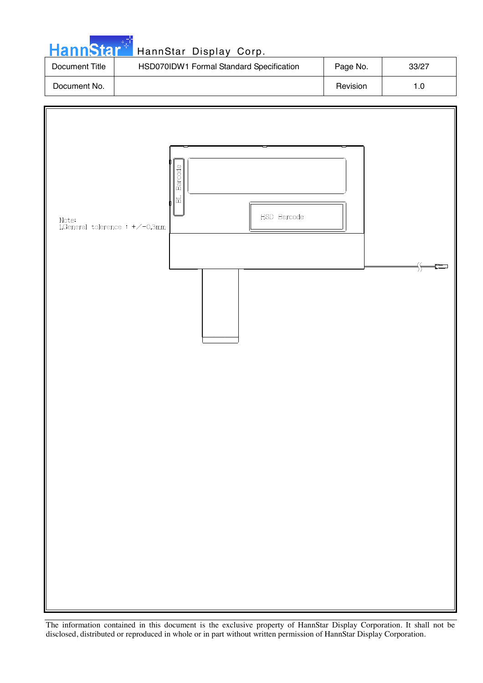| HannStar <sup>*</sup> | HannStar Display Corp.                   |          |       |
|-----------------------|------------------------------------------|----------|-------|
| Document Title        | HSD070IDW1 Formal Standard Specification | Page No. | 33/27 |
| Document No.          |                                          | Revision | 1.0   |

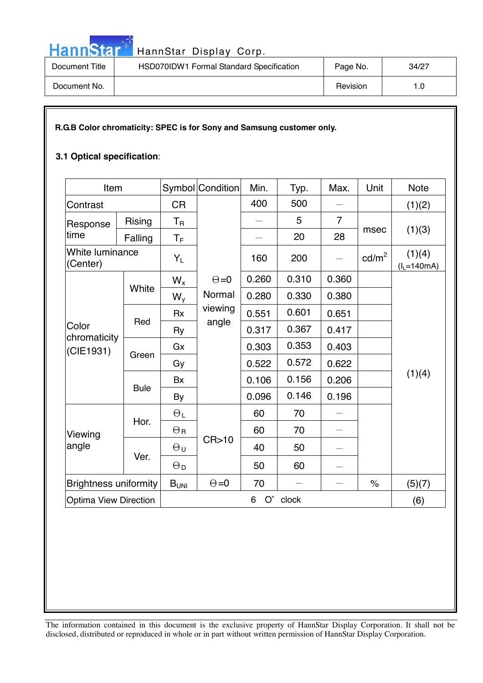

HannStar<sup>t HannStar Display Corp.</sup>

| Document Title | HSD070IDW1 Formal Standard Specification | Page No. | 34/27 |
|----------------|------------------------------------------|----------|-------|
| Document No.   |                                          | Revision | . .0  |

### **R.G.B Color chromaticity: SPEC is for Sony and Samsung customer only.**

### **3.1 Optical specification**:

| Item                               |             |                         | Symbol Condition           | Min.           | Typ.  | Max.                     | Unit                 | <b>Note</b>            |
|------------------------------------|-------------|-------------------------|----------------------------|----------------|-------|--------------------------|----------------------|------------------------|
| Contrast                           |             | <b>CR</b>               |                            | 400            | 500   |                          |                      | (1)(2)                 |
| Response<br>time                   | Rising      | $T_{\mathsf{R}}$        |                            |                | 5     | $\overline{7}$           | msec                 | (1)(3)                 |
|                                    | Falling     | $\mathsf{T}_\mathsf{F}$ |                            | $\equiv$       | 20    | 28                       |                      |                        |
| White luminance<br>(Center)        |             | $Y_L$                   |                            | 160            | 200   | $\qquad \qquad -$        | $\text{cd/m}^2$      | (1)(4)<br>$(IL=140mA)$ |
|                                    |             | $W_{x}$                 | $\Theta = 0$               | 0.260<br>0.310 | 0.360 |                          |                      |                        |
|                                    | White       | $W_{y}$                 | Normal<br>viewing<br>angle | 0.280          | 0.330 | 0.380                    |                      | (1)(4)                 |
|                                    |             | <b>Rx</b>               |                            | 0.551          | 0.601 | 0.651                    |                      |                        |
| Color<br>chromaticity<br>(CIE1931) | Red         | Ry                      |                            | 0.317          | 0.367 | 0.417                    |                      |                        |
|                                    | Green       | Gx                      |                            | 0.303          | 0.353 | 0.403                    |                      |                        |
|                                    |             | Gy                      |                            | 0.522          | 0.572 | 0.622                    |                      |                        |
|                                    |             | <b>Bx</b>               |                            | 0.106          | 0.156 | 0.206                    |                      |                        |
|                                    | <b>Bule</b> | By                      |                            | 0.096          | 0.146 | 0.196                    |                      |                        |
|                                    | Hor.        | $\Theta_L$              | CR > 10                    | 60             | 70    | $\overline{\phantom{0}}$ |                      |                        |
| Viewing<br>angle                   |             | $\Theta$ R              |                            | 60             | 70    |                          |                      |                        |
|                                    | Ver.        | $\Theta$ u              |                            | 40             | 50    |                          |                      |                        |
|                                    |             | $\Theta_{\mathsf{D}}$   |                            | 50             | 60    | $\overline{\phantom{0}}$ |                      |                        |
| <b>Brightness uniformity</b>       |             | $B_{UNI}$               | $\Theta = 0$               | 70             |       | $\overline{\phantom{0}}$ | $\frac{1}{\sqrt{2}}$ | (5)(7)                 |
| <b>Optima View Direction</b>       |             | O'<br>clock<br>6        |                            |                |       |                          | (6)                  |                        |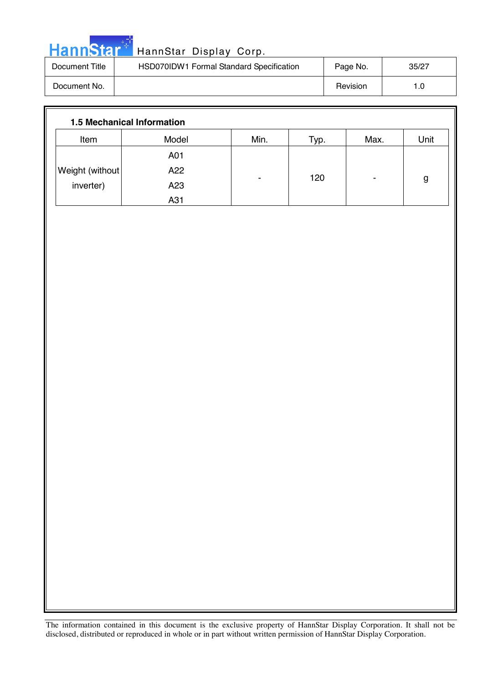| <b>HannStar</b> * | HannStar Display Corp.                   |          |       |
|-------------------|------------------------------------------|----------|-------|
| Document Title    | HSD070IDW1 Formal Standard Specification | Page No. | 35/27 |
| Document No.      |                                          | Revision | 1.0   |

| <b>1.5 Mechanical Information</b> |       |      |      |      |      |
|-----------------------------------|-------|------|------|------|------|
| Item                              | Model | Min. | Typ. | Max. | Unit |
|                                   | A01   |      |      |      |      |
| Weight (without)                  | A22   |      |      |      |      |
| inverter)                         | A23   |      | 120  | ۰    | g    |
|                                   | A31   |      |      |      |      |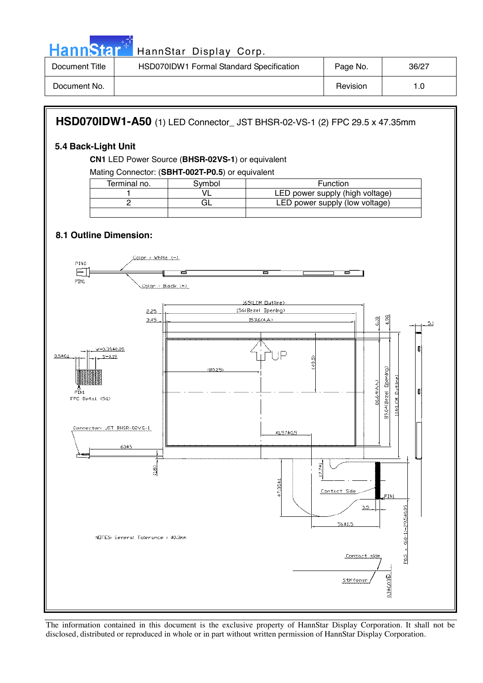

| Document Title | HSD070IDW1 Formal Standard Specification | Page No. | 36/27 |
|----------------|------------------------------------------|----------|-------|
| Document No.   |                                          | Revision | 0. ا  |

### **HSD070IDW1-A50** (1) LED Connector\_ JST BHSR-02-VS-1 (2) FPC 29.5 x 47.35mm

### **5.4 Back-Light Unit**

**CN1** LED Power Source (**BHSR-02VS-1**) or equivalent

Mating Connector: (**SBHT-002T-P0.5**) or equivalent

| Terminal no. | Svmbol | Function                        |
|--------------|--------|---------------------------------|
|              |        | LED power supply (high voltage) |
|              | GL     | LED power supply (low voltage)  |
|              |        |                                 |

### **8.1 Outline Dimension:**